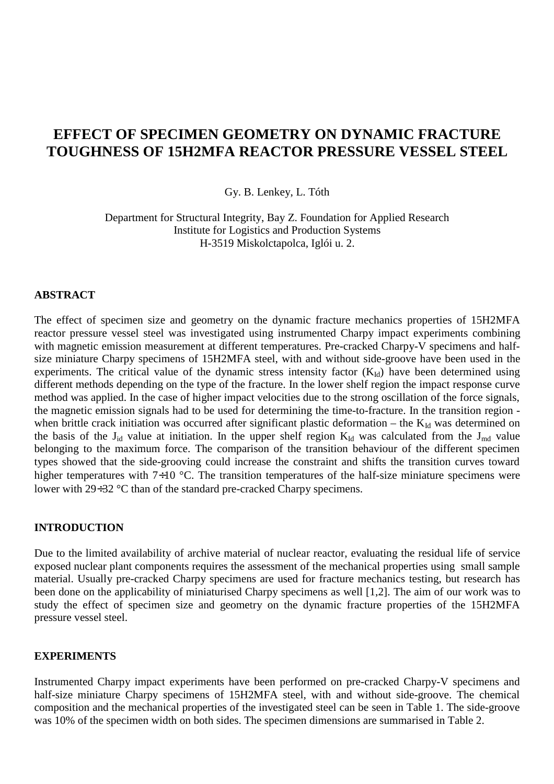# **EFFECT OF SPECIMEN GEOMETRY ON DYNAMIC FRACTURE TOUGHNESS OF 15H2MFA REACTOR PRESSURE VESSEL STEEL**

Gy. B. Lenkey, L. Tóth

Department for Structural Integrity, Bay Z. Foundation for Applied Research Institute for Logistics and Production Systems H-3519 Miskolctapolca, Iglói u. 2.

### **ABSTRACT**

The effect of specimen size and geometry on the dynamic fracture mechanics properties of 15H2MFA reactor pressure vessel steel was investigated using instrumented Charpy impact experiments combining with magnetic emission measurement at different temperatures. Pre-cracked Charpy-V specimens and halfsize miniature Charpy specimens of 15H2MFA steel, with and without side-groove have been used in the experiments. The critical value of the dynamic stress intensity factor  $(K<sub>Id</sub>)$  have been determined using different methods depending on the type of the fracture. In the lower shelf region the impact response curve method was applied. In the case of higher impact velocities due to the strong oscillation of the force signals, the magnetic emission signals had to be used for determining the time-to-fracture. In the transition region when brittle crack initiation was occurred after significant plastic deformation – the  $K_{Id}$  was determined on the basis of the  $J_{id}$  value at initiation. In the upper shelf region  $K_{Id}$  was calculated from the  $J_{md}$  value belonging to the maximum force. The comparison of the transition behaviour of the different specimen types showed that the side-grooving could increase the constraint and shifts the transition curves toward higher temperatures with  $7\div 10^{\circ}$ C. The transition temperatures of the half-size miniature specimens were lower with 29÷32 °C than of the standard pre-cracked Charpy specimens.

### **INTRODUCTION**

Due to the limited availability of archive material of nuclear reactor, evaluating the residual life of service exposed nuclear plant components requires the assessment of the mechanical properties using small sample material. Usually pre-cracked Charpy specimens are used for fracture mechanics testing, but research has been done on the applicability of miniaturised Charpy specimens as well [1,2]. The aim of our work was to study the effect of specimen size and geometry on the dynamic fracture properties of the 15H2MFA pressure vessel steel.

#### **EXPERIMENTS**

Instrumented Charpy impact experiments have been performed on pre-cracked Charpy-V specimens and half-size miniature Charpy specimens of 15H2MFA steel, with and without side-groove. The chemical composition and the mechanical properties of the investigated steel can be seen in Table 1. The side-groove was 10% of the specimen width on both sides. The specimen dimensions are summarised in Table 2.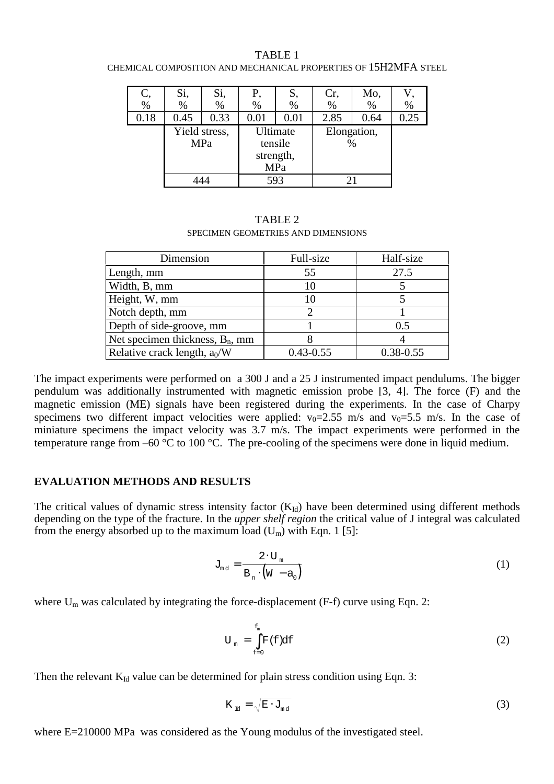| C,   | Si,  | Si,           | Ρ,        | S,       | Cr,  | Mo,         |      |
|------|------|---------------|-----------|----------|------|-------------|------|
| $\%$ | %    | %             | $\%$      | $\%$     | %    | $\%$        | %    |
| 0.18 | 0.45 | 0.33          | 0.01      | 0.01     | 2.85 | 0.64        | 0.25 |
|      |      | Yield stress, |           | Ultimate |      | Elongation, |      |
|      | MPa  |               | tensile   |          | %    |             |      |
|      |      |               | strength, |          |      |             |      |
|      |      |               | MPa       |          |      |             |      |
|      |      |               | 593       |          |      |             |      |

TABLE 1 CHEMICAL COMPOSITION AND MECHANICAL PROPERTIES OF 15H2MFA STEEL

| TABLE 2                            |
|------------------------------------|
| SPECIMEN GEOMETRIES AND DIMENSIONS |

| Dimension                          | Full-size     | Half-size     |  |
|------------------------------------|---------------|---------------|--|
| Length, mm                         | 55            | 27.5          |  |
| Width, B, mm                       | 10            |               |  |
| Height, W, mm                      | 10            |               |  |
| Notch depth, mm                    |               |               |  |
| Depth of side-groove, mm           |               | 0.5           |  |
| Net specimen thickness, $B_n$ , mm |               |               |  |
| Relative crack length, $a_0/W$     | $0.43 - 0.55$ | $0.38 - 0.55$ |  |

The impact experiments were performed on a 300 J and a 25 J instrumented impact pendulums. The bigger pendulum was additionally instrumented with magnetic emission probe [3, 4]. The force (F) and the magnetic emission (ME) signals have been registered during the experiments. In the case of Charpy specimens two different impact velocities were applied:  $v_0=2.55$  m/s and  $v_0=5.5$  m/s. In the case of miniature specimens the impact velocity was 3.7 m/s. The impact experiments were performed in the temperature range from –60 °C to 100 °C. The pre-cooling of the specimens were done in liquid medium.

#### **EVALUATION METHODS AND RESULTS**

The critical values of dynamic stress intensity factor  $(K<sub>Id</sub>)$  have been determined using different methods depending on the type of the fracture. In the *upper shelf region* the critical value of J integral was calculated from the energy absorbed up to the maximum load  $(U_m)$  with Eqn. 1 [5]:

$$
J_{\mathfrak{m}\mathfrak{d}} = \frac{2 \cdot U_{\mathfrak{m}}}{B_{\mathfrak{n}} \cdot (W - a_0)}
$$
 (1)

where  $U_m$  was calculated by integrating the force-displacement (F-f) curve using Eqn. 2:

$$
U_m = \int_{f=0}^{f_m} F(f) df
$$
 (2)

Then the relevant  $K_{Id}$  value can be determined for plain stress condition using Eqn. 3:

$$
K_{\rm nd} = \sqrt{E \cdot J_{\rm md}} \tag{3}
$$

where E=210000 MPa was considered as the Young modulus of the investigated steel.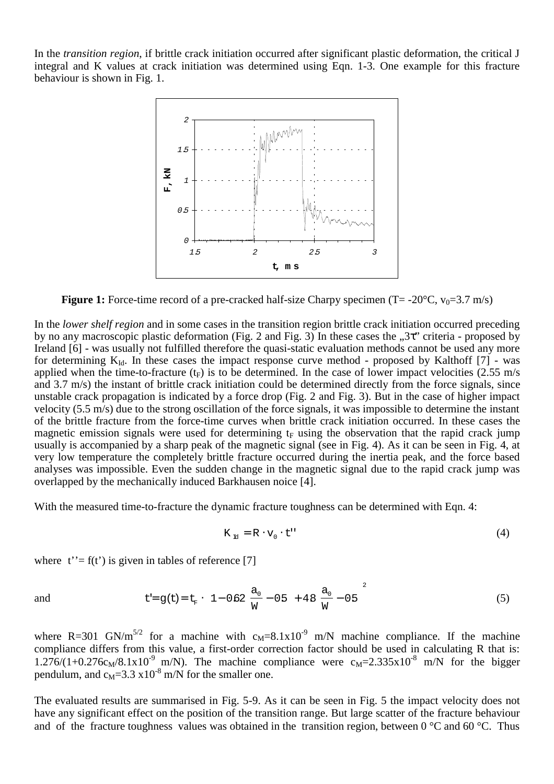In the *transition region*, if brittle crack initiation occurred after significant plastic deformation, the critical J integral and K values at crack initiation was determined using Eqn. 1-3. One example for this fracture behaviour is shown in Fig. 1.



**Figure 1:** Force-time record of a pre-cracked half-size Charpy specimen ( $T = -20^{\circ}C$ ,  $v_0 = 3.7$  m/s)

In the *lower shelf region* and in some cases in the transition region brittle crack initiation occurred preceding by no any macroscopic plastic deformation (Fig. 2 and Fig. 3) In these cases the  $,3\tau$  criteria - proposed by Ireland [6] - was usually not fulfilled therefore the quasi-static evaluation methods cannot be used any more for determining  $K_{Id}$ . In these cases the impact response curve method - proposed by Kalthoff [7] - was applied when the time-to-fracture  $(t_F)$  is to be determined. In the case of lower impact velocities (2.55 m/s and 3.7 m/s) the instant of brittle crack initiation could be determined directly from the force signals, since unstable crack propagation is indicated by a force drop (Fig. 2 and Fig. 3). But in the case of higher impact velocity (5.5 m/s) due to the strong oscillation of the force signals, it was impossible to determine the instant of the brittle fracture from the force-time curves when brittle crack initiation occurred. In these cases the magnetic emission signals were used for determining  $t_F$  using the observation that the rapid crack jump usually is accompanied by a sharp peak of the magnetic signal (see in Fig. 4). As it can be seen in Fig. 4, at very low temperature the completely brittle fracture occurred during the inertia peak, and the force based analyses was impossible. Even the sudden change in the magnetic signal due to the rapid crack jump was overlapped by the mechanically induced Barkhausen noice [4].

With the measured time-to-fracture the dynamic fracture toughness can be determined with Eqn. 4:

$$
K_{\rm nd} = R \cdot v_0 \cdot t^{\prime \prime} \tag{4}
$$

where  $t' = f(t')$  is given in tables of reference [7]

and 
$$
t = g(t) = t_F \cdot \left\{ 1 - 0.62 \left( \frac{a_0}{W} - 0.5 \right) + 4.8 \left( \frac{a_0}{W} - 0.5 \right)^2 \right\}
$$
 (5)

where R=301 GN/m<sup>5/2</sup> for a machine with  $c_M$ =8.1x10<sup>-9</sup> m/N machine compliance. If the machine compliance differs from this value, a first-order correction factor should be used in calculating R that is:  $1.276/(1+0.276c_M/8.1x10^{-9}$  m/N). The machine compliance were  $c_M$ =2.335x10<sup>-8</sup> m/N for the bigger pendulum, and  $c_M = 3.3 \times 10^{-8}$  m/N for the smaller one.

The evaluated results are summarised in Fig. 5-9. As it can be seen in Fig. 5 the impact velocity does not have any significant effect on the position of the transition range. But large scatter of the fracture behaviour and of the fracture toughness values was obtained in the transition region, between 0 °C and 60 °C. Thus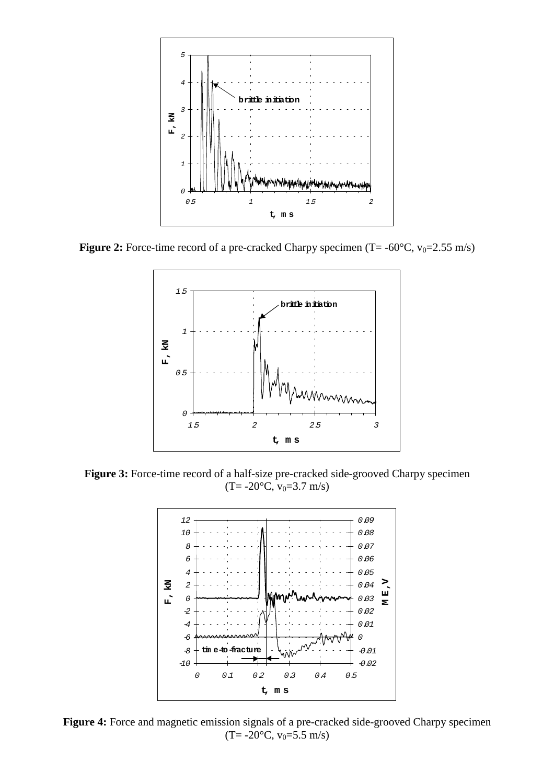

**Figure 2:** Force-time record of a pre-cracked Charpy specimen  $(T = -60^{\circ}C, v_0 = 2.55 \text{ m/s})$ 



**Figure 3:** Force-time record of a half-size pre-cracked side-grooved Charpy specimen  $(T=-20\text{°C}, v_0=3.7 \text{ m/s})$ 



Figure 4: Force and magnetic emission signals of a pre-cracked side-grooved Charpy specimen  $(T=-20\text{°C}, v_0=5.5 \text{ m/s})$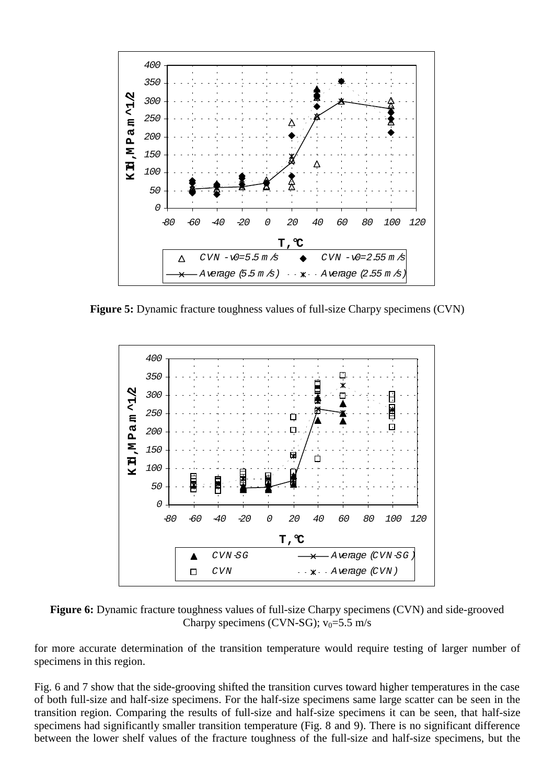

**Figure 5:** Dynamic fracture toughness values of full-size Charpy specimens (CVN)



**Figure 6:** Dynamic fracture toughness values of full-size Charpy specimens (CVN) and side-grooved Charpy specimens (CVN-SG);  $v_0 = 5.5$  m/s

for more accurate determination of the transition temperature would require testing of larger number of specimens in this region.

Fig. 6 and 7 show that the side-grooving shifted the transition curves toward higher temperatures in the case of both full-size and half-size specimens. For the half-size specimens same large scatter can be seen in the transition region. Comparing the results of full-size and half-size specimens it can be seen, that half-size specimens had significantly smaller transition temperature (Fig. 8 and 9). There is no significant difference between the lower shelf values of the fracture toughness of the full-size and half-size specimens, but the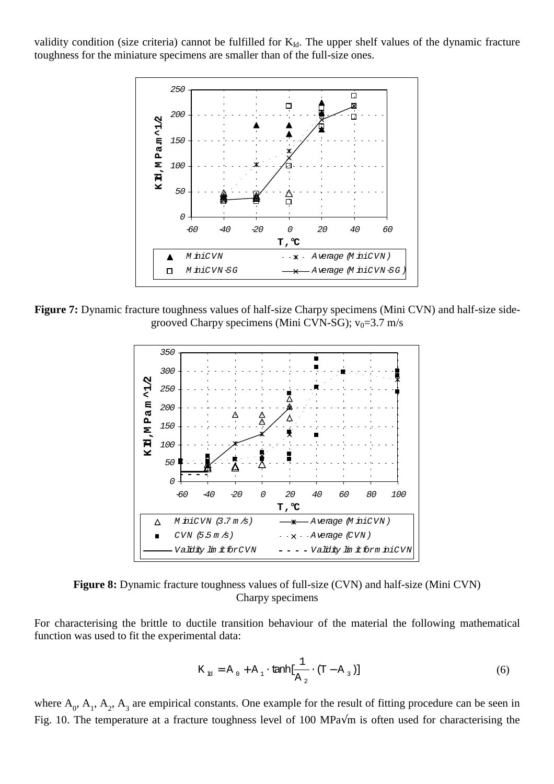validity condition (size criteria) cannot be fulfilled for  $K_{Id}$ . The upper shelf values of the dynamic fracture toughness for the miniature specimens are smaller than of the full-size ones.



**Figure 7:** Dynamic fracture toughness values of half-size Charpy specimens (Mini CVN) and half-size sidegrooved Charpy specimens (Mini CVN-SG);  $v_0 = 3.7$  m/s



**Figure 8:** Dynamic fracture toughness values of full-size (CVN) and half-size (Mini CVN) Charpy specimens

For characterising the brittle to ductile transition behaviour of the material the following mathematical function was used to fit the experimental data:

$$
K_{\rm H} = A_0 + A_1 \cdot \tanh[\frac{1}{A_2} \cdot (T - A_3)] \tag{6}
$$

where  $A_0$ ,  $A_1$ ,  $A_2$ ,  $A_3$  are empirical constants. One example for the result of fitting procedure can be seen in Fig. 10. The temperature at a fracture toughness level of 100 MPa√m is often used for characterising the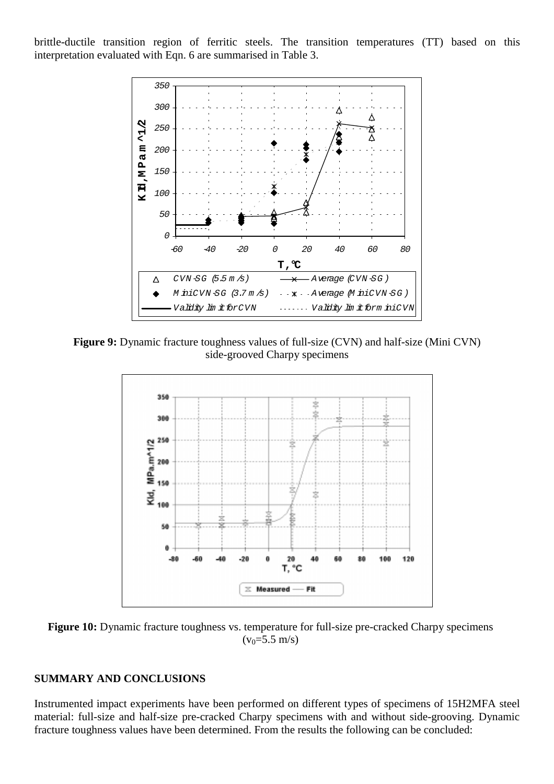brittle-ductile transition region of ferritic steels. The transition temperatures (TT) based on this interpretation evaluated with Eqn. 6 are summarised in Table 3.



**Figure 9:** Dynamic fracture toughness values of full-size (CVN) and half-size (Mini CVN) side-grooved Charpy specimens



**Figure 10:** Dynamic fracture toughness vs. temperature for full-size pre-cracked Charpy specimens  $(v_0=5.5 \text{ m/s})$ 

### **SUMMARY AND CONCLUSIONS**

Instrumented impact experiments have been performed on different types of specimens of 15H2MFA steel material: full-size and half-size pre-cracked Charpy specimens with and without side-grooving. Dynamic fracture toughness values have been determined. From the results the following can be concluded: